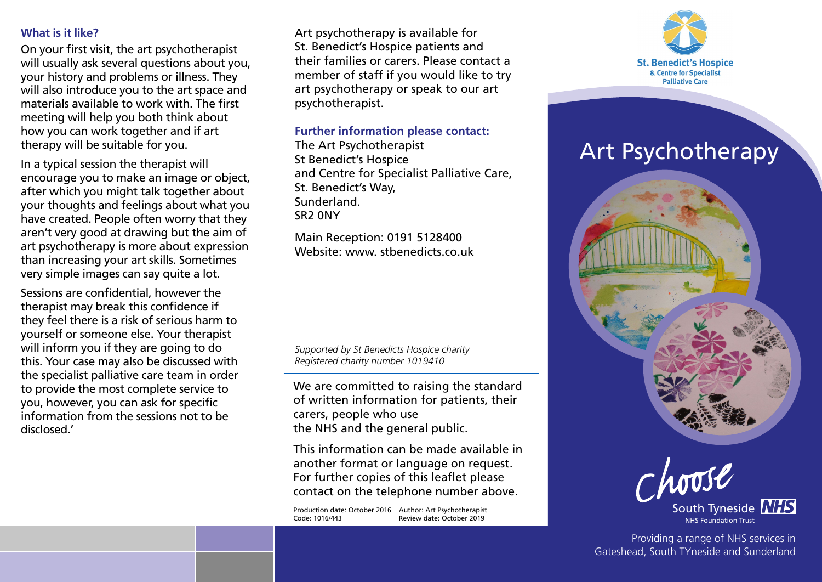#### **What is it like?**

On your first visit, the art psychotherapist will usually ask several questions about you, your history and problems or illness. They will also introduce you to the art space and materials available to work with. The first meeting will help you both think about how you can work together and if art therapy will be suitable for you.

In a typical session the therapist will encourage you to make an image or object, after which you might talk together about your thoughts and feelings about what you have created. People often worry that they aren't very good at drawing but the aim of art psychotherapy is more about expression than increasing your art skills. Sometimes very simple images can say quite a lot.

Sessions are confidential, however the therapist may break this confidence if they feel there is a risk of serious harm to yourself or someone else. Your therapist will inform you if they are going to do this. Your case may also be discussed with the specialist palliative care team in order to provide the most complete service to you, however, you can ask for specific information from the sessions not to be disclosed.'

Art psychotherapy is available for St. Benedict's Hospice patients and their families or carers. Please contact a member of staff if you would like to try art psychotherapy or speak to our art psychotherapist.

#### **Further information please contact:**

The Art Psychotherapist St Benedict's Hospice and Centre for Specialist Palliative Care, St. Benedict's Way, Sunderland. SR2 0NY

Main Reception: 0191 5128400 Website: www. stbenedicts.co.uk

*Supported by St Benedicts Hospice charity Registered charity number 1019410*

We are committed to raising the standard of written information for patients, their carers, people who use the NHS and the general public.

This information can be made available in another format or language on request. For further copies of this leaflet please contact on the telephone number above.

Production date: October 2016 Author: Art Psychotherapist Code: 1016/443 Review date: October 2019



# **Art Psychotherapy**



South Tyneside **NHS** NHS Foundation Trust

Providing a range of NHS services in Gateshead, South TYneside and Sunderland